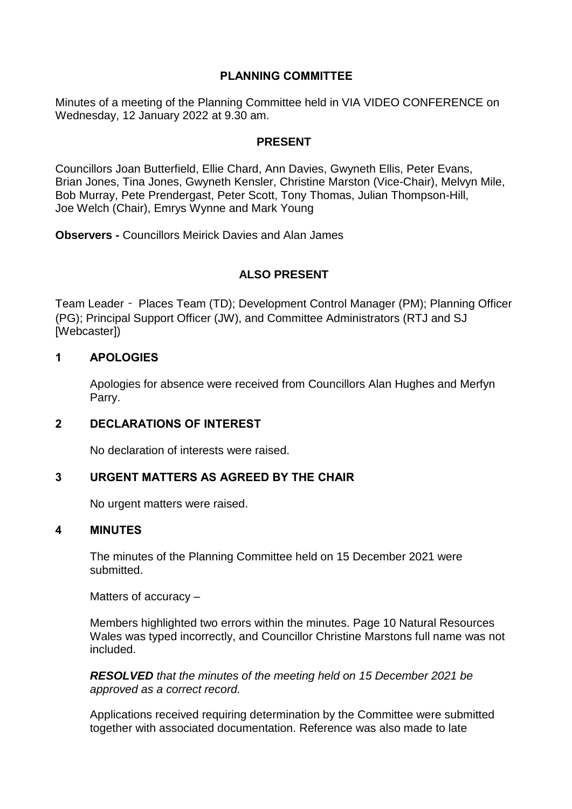## **PLANNING COMMITTEE**

Minutes of a meeting of the Planning Committee held in VIA VIDEO CONFERENCE on Wednesday, 12 January 2022 at 9.30 am.

### **PRESENT**

Councillors Joan Butterfield, Ellie Chard, Ann Davies, Gwyneth Ellis, Peter Evans, Brian Jones, Tina Jones, Gwyneth Kensler, Christine Marston (Vice-Chair), Melvyn Mile, Bob Murray, Pete Prendergast, Peter Scott, Tony Thomas, Julian Thompson-Hill, Joe Welch (Chair), Emrys Wynne and Mark Young

**Observers -** Councillors Meirick Davies and Alan James

# **ALSO PRESENT**

Team Leader – Places Team (TD); Development Control Manager (PM); Planning Officer (PG); Principal Support Officer (JW), and Committee Administrators (RTJ and SJ [Webcaster])

## **1 APOLOGIES**

Apologies for absence were received from Councillors Alan Hughes and Merfyn Parry.

## **2 DECLARATIONS OF INTEREST**

No declaration of interests were raised.

## **3 URGENT MATTERS AS AGREED BY THE CHAIR**

No urgent matters were raised.

#### **4 MINUTES**

The minutes of the Planning Committee held on 15 December 2021 were submitted.

Matters of accuracy –

Members highlighted two errors within the minutes. Page 10 Natural Resources Wales was typed incorrectly, and Councillor Christine Marstons full name was not included.

*RESOLVED that the minutes of the meeting held on 15 December 2021 be approved as a correct record.*

Applications received requiring determination by the Committee were submitted together with associated documentation. Reference was also made to late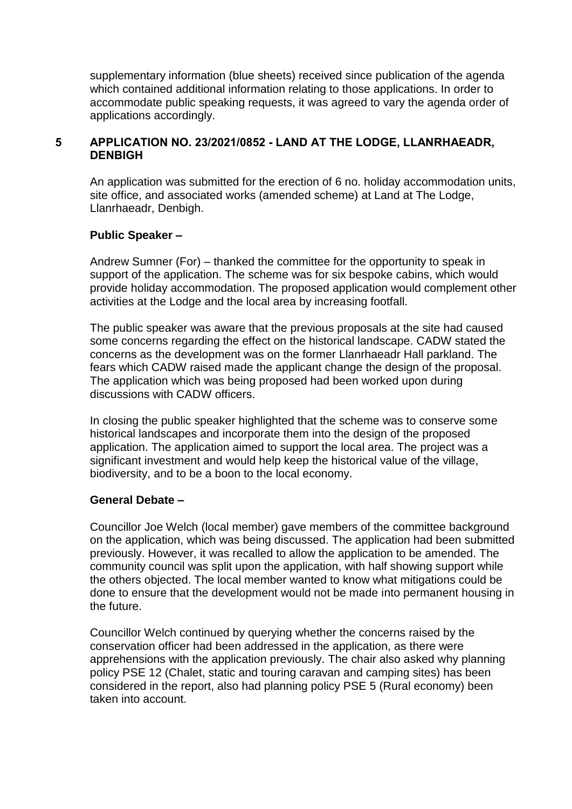supplementary information (blue sheets) received since publication of the agenda which contained additional information relating to those applications. In order to accommodate public speaking requests, it was agreed to vary the agenda order of applications accordingly.

### **5 APPLICATION NO. 23/2021/0852 - LAND AT THE LODGE, LLANRHAEADR, DENBIGH**

An application was submitted for the erection of 6 no. holiday accommodation units, site office, and associated works (amended scheme) at Land at The Lodge, Llanrhaeadr, Denbigh.

## **Public Speaker –**

Andrew Sumner (For) – thanked the committee for the opportunity to speak in support of the application. The scheme was for six bespoke cabins, which would provide holiday accommodation. The proposed application would complement other activities at the Lodge and the local area by increasing footfall.

The public speaker was aware that the previous proposals at the site had caused some concerns regarding the effect on the historical landscape. CADW stated the concerns as the development was on the former Llanrhaeadr Hall parkland. The fears which CADW raised made the applicant change the design of the proposal. The application which was being proposed had been worked upon during discussions with CADW officers.

In closing the public speaker highlighted that the scheme was to conserve some historical landscapes and incorporate them into the design of the proposed application. The application aimed to support the local area. The project was a significant investment and would help keep the historical value of the village, biodiversity, and to be a boon to the local economy.

## **General Debate –**

Councillor Joe Welch (local member) gave members of the committee background on the application, which was being discussed. The application had been submitted previously. However, it was recalled to allow the application to be amended. The community council was split upon the application, with half showing support while the others objected. The local member wanted to know what mitigations could be done to ensure that the development would not be made into permanent housing in the future.

Councillor Welch continued by querying whether the concerns raised by the conservation officer had been addressed in the application, as there were apprehensions with the application previously. The chair also asked why planning policy PSE 12 (Chalet, static and touring caravan and camping sites) has been considered in the report, also had planning policy PSE 5 (Rural economy) been taken into account.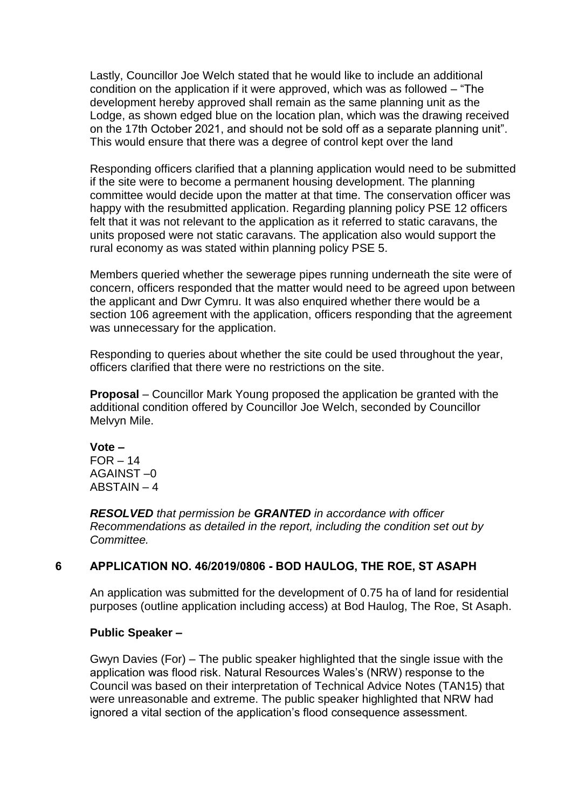Lastly, Councillor Joe Welch stated that he would like to include an additional condition on the application if it were approved, which was as followed – "The development hereby approved shall remain as the same planning unit as the Lodge, as shown edged blue on the location plan, which was the drawing received on the 17th October 2021, and should not be sold off as a separate planning unit". This would ensure that there was a degree of control kept over the land

Responding officers clarified that a planning application would need to be submitted if the site were to become a permanent housing development. The planning committee would decide upon the matter at that time. The conservation officer was happy with the resubmitted application. Regarding planning policy PSE 12 officers felt that it was not relevant to the application as it referred to static caravans, the units proposed were not static caravans. The application also would support the rural economy as was stated within planning policy PSE 5.

Members queried whether the sewerage pipes running underneath the site were of concern, officers responded that the matter would need to be agreed upon between the applicant and Dwr Cymru. It was also enquired whether there would be a section 106 agreement with the application, officers responding that the agreement was unnecessary for the application.

Responding to queries about whether the site could be used throughout the year, officers clarified that there were no restrictions on the site.

**Proposal** – Councillor Mark Young proposed the application be granted with the additional condition offered by Councillor Joe Welch, seconded by Councillor Melvyn Mile.

**Vote –**  $FOR - 14$ AGAINST –0 ABSTAIN – 4

*RESOLVED that permission be GRANTED in accordance with officer Recommendations as detailed in the report, including the condition set out by Committee.*

## **6 APPLICATION NO. 46/2019/0806 - BOD HAULOG, THE ROE, ST ASAPH**

An application was submitted for the development of 0.75 ha of land for residential purposes (outline application including access) at Bod Haulog, The Roe, St Asaph.

#### **Public Speaker –**

Gwyn Davies (For) – The public speaker highlighted that the single issue with the application was flood risk. Natural Resources Wales's (NRW) response to the Council was based on their interpretation of Technical Advice Notes (TAN15) that were unreasonable and extreme. The public speaker highlighted that NRW had ignored a vital section of the application's flood consequence assessment.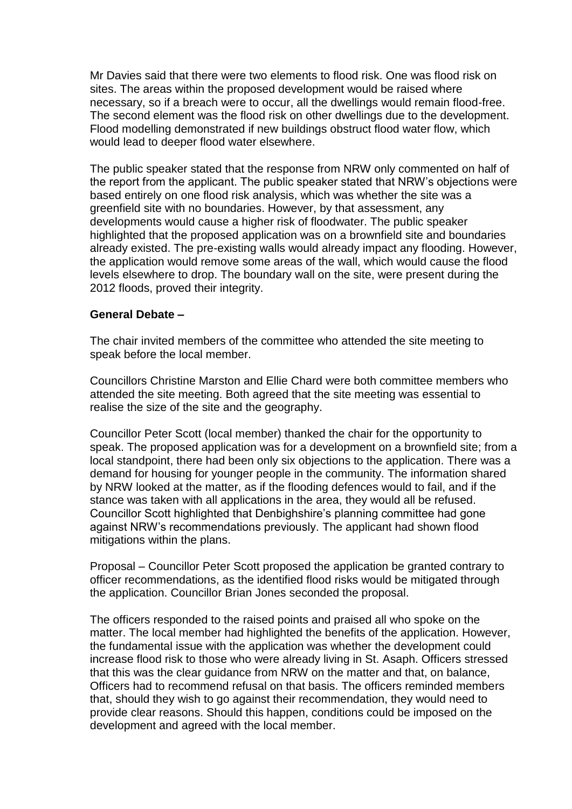Mr Davies said that there were two elements to flood risk. One was flood risk on sites. The areas within the proposed development would be raised where necessary, so if a breach were to occur, all the dwellings would remain flood-free. The second element was the flood risk on other dwellings due to the development. Flood modelling demonstrated if new buildings obstruct flood water flow, which would lead to deeper flood water elsewhere.

The public speaker stated that the response from NRW only commented on half of the report from the applicant. The public speaker stated that NRW's objections were based entirely on one flood risk analysis, which was whether the site was a greenfield site with no boundaries. However, by that assessment, any developments would cause a higher risk of floodwater. The public speaker highlighted that the proposed application was on a brownfield site and boundaries already existed. The pre-existing walls would already impact any flooding. However, the application would remove some areas of the wall, which would cause the flood levels elsewhere to drop. The boundary wall on the site, were present during the 2012 floods, proved their integrity.

#### **General Debate –**

The chair invited members of the committee who attended the site meeting to speak before the local member.

Councillors Christine Marston and Ellie Chard were both committee members who attended the site meeting. Both agreed that the site meeting was essential to realise the size of the site and the geography.

Councillor Peter Scott (local member) thanked the chair for the opportunity to speak. The proposed application was for a development on a brownfield site; from a local standpoint, there had been only six objections to the application. There was a demand for housing for younger people in the community. The information shared by NRW looked at the matter, as if the flooding defences would to fail, and if the stance was taken with all applications in the area, they would all be refused. Councillor Scott highlighted that Denbighshire's planning committee had gone against NRW's recommendations previously. The applicant had shown flood mitigations within the plans.

Proposal – Councillor Peter Scott proposed the application be granted contrary to officer recommendations, as the identified flood risks would be mitigated through the application. Councillor Brian Jones seconded the proposal.

The officers responded to the raised points and praised all who spoke on the matter. The local member had highlighted the benefits of the application. However, the fundamental issue with the application was whether the development could increase flood risk to those who were already living in St. Asaph. Officers stressed that this was the clear guidance from NRW on the matter and that, on balance, Officers had to recommend refusal on that basis. The officers reminded members that, should they wish to go against their recommendation, they would need to provide clear reasons. Should this happen, conditions could be imposed on the development and agreed with the local member.